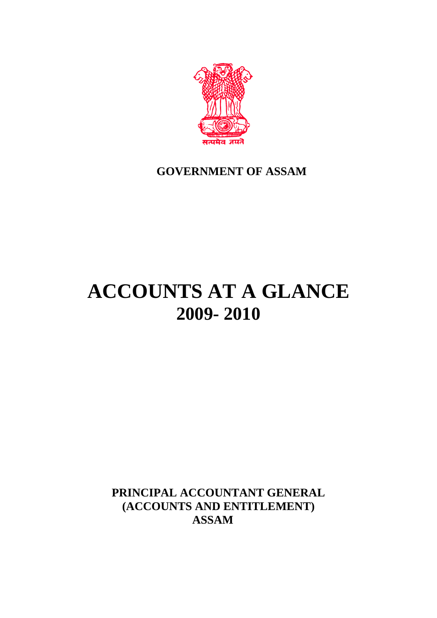

## **GOVERNMENT OF ASSAM**

# **ACCOUNTS AT A GLANCE 2009- 2010**

**PRINCIPAL ACCOUNTANT GENERAL (ACCOUNTS AND ENTITLEMENT) ASSAM**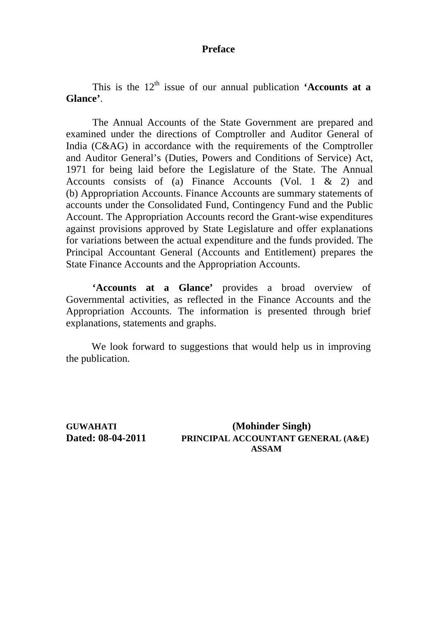## **Preface**

This is the  $12<sup>th</sup>$  issue of our annual publication **'Accounts at a Glance'**.

 The Annual Accounts of the State Government are prepared and examined under the directions of Comptroller and Auditor General of India (C&AG) in accordance with the requirements of the Comptroller and Auditor General's (Duties, Powers and Conditions of Service) Act, 1971 for being laid before the Legislature of the State. The Annual Accounts consists of (a) Finance Accounts (Vol. 1 & 2) and (b) Appropriation Accounts. Finance Accounts are summary statements of accounts under the Consolidated Fund, Contingency Fund and the Public Account. The Appropriation Accounts record the Grant-wise expenditures against provisions approved by State Legislature and offer explanations for variations between the actual expenditure and the funds provided. The Principal Accountant General (Accounts and Entitlement) prepares the State Finance Accounts and the Appropriation Accounts.

**'Accounts at a Glance'** provides a broad overview of Governmental activities, as reflected in the Finance Accounts and the Appropriation Accounts. The information is presented through brief explanations, statements and graphs.

We look forward to suggestions that would help us in improving the publication.

**GUWAHATI (Mohinder Singh) Dated: 08-04-2011 PRINCIPAL ACCOUNTANT GENERAL (A&E) ASSAM**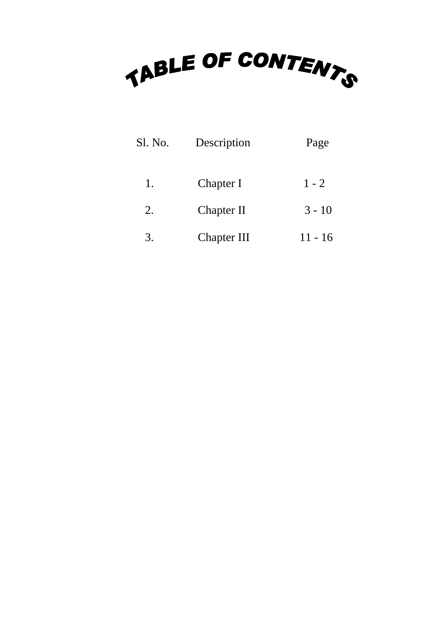

| Sl. No. | Description        | Page      |
|---------|--------------------|-----------|
| 1.      | Chapter I          | $1 - 2$   |
| 2.      | Chapter II         | $3 - 10$  |
| 3.      | <b>Chapter III</b> | $11 - 16$ |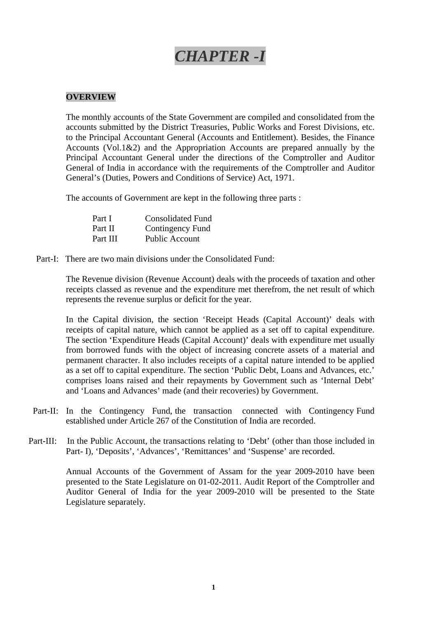## *CHAPTER -I*

#### **OVERVIEW**

The monthly accounts of the State Government are compiled and consolidated from the accounts submitted by the District Treasuries, Public Works and Forest Divisions, etc. to the Principal Accountant General (Accounts and Entitlement). Besides, the Finance Accounts (Vol.1&2) and the Appropriation Accounts are prepared annually by the Principal Accountant General under the directions of the Comptroller and Auditor General of India in accordance with the requirements of the Comptroller and Auditor General's (Duties, Powers and Conditions of Service) Act, 1971.

The accounts of Government are kept in the following three parts :

| Part I   | <b>Consolidated Fund</b> |
|----------|--------------------------|
| Part II  | Contingency Fund         |
| Part III | Public Account           |

Part-I: There are two main divisions under the Consolidated Fund:

The Revenue division (Revenue Account) deals with the proceeds of taxation and other receipts classed as revenue and the expenditure met therefrom, the net result of which represents the revenue surplus or deficit for the year.

In the Capital division, the section 'Receipt Heads (Capital Account)' deals with receipts of capital nature, which cannot be applied as a set off to capital expenditure. The section 'Expenditure Heads (Capital Account)' deals with expenditure met usually from borrowed funds with the object of increasing concrete assets of a material and permanent character. It also includes receipts of a capital nature intended to be applied as a set off to capital expenditure. The section 'Public Debt, Loans and Advances, etc.' comprises loans raised and their repayments by Government such as 'Internal Debt' and 'Loans and Advances' made (and their recoveries) by Government.

- Part-II: In the Contingency Fund, the transaction connected with Contingency Fund established under Article 267 of the Constitution of India are recorded.
- Part-III: In the Public Account, the transactions relating to 'Debt' (other than those included in Part- I), 'Deposits', 'Advances', 'Remittances' and 'Suspense' are recorded.

Annual Accounts of the Government of Assam for the year 2009-2010 have been presented to the State Legislature on 01-02-2011. Audit Report of the Comptroller and Auditor General of India for the year 2009-2010 will be presented to the State Legislature separately.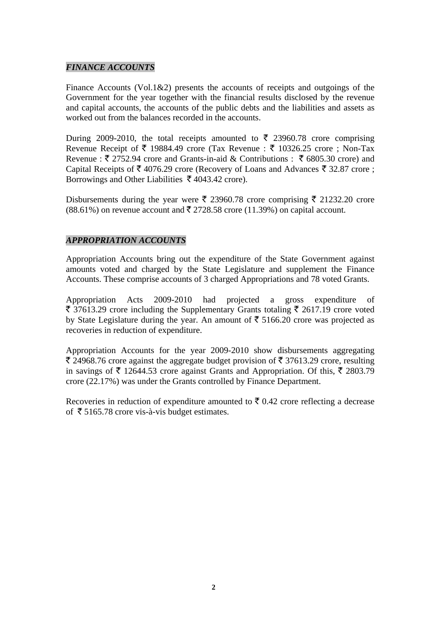## *FINANCE ACCOUNTS*

Finance Accounts (Vol.1&2) presents the accounts of receipts and outgoings of the Government for the year together with the financial results disclosed by the revenue and capital accounts, the accounts of the public debts and the liabilities and assets as worked out from the balances recorded in the accounts.

During 2009-2010, the total receipts amounted to  $\bar{\xi}$  23960.78 crore comprising Revenue Receipt of  $\bar{\tau}$  19884.49 crore (Tax Revenue :  $\bar{\tau}$  10326.25 crore ; Non-Tax Revenue :  $\bar{\xi}$  2752.94 crore and Grants-in-aid & Contributions :  $\bar{\xi}$  6805.30 crore) and Capital Receipts of  $\bar{\tau}$  4076.29 crore (Recovery of Loans and Advances  $\bar{\tau}$  32.87 crore ; Borrowings and Other Liabilities  $\bar{\tau}$  4043.42 crore).

Disbursements during the year were  $\bar{\xi}$  23960.78 crore comprising  $\bar{\xi}$  21232.20 crore  $(88.61\%)$  on revenue account and  $\overline{5}$  2728.58 crore (11.39%) on capital account.

## *APPROPRIATION ACCOUNTS*

Appropriation Accounts bring out the expenditure of the State Government against amounts voted and charged by the State Legislature and supplement the Finance Accounts. These comprise accounts of 3 charged Appropriations and 78 voted Grants.

Appropriation Acts 2009-2010 had projected a gross expenditure of  $\bar{\xi}$  37613.29 crore including the Supplementary Grants totaling  $\bar{\xi}$  2617.19 crore voted by State Legislature during the year. An amount of  $\bar{\tau}$  5166.20 crore was projected as recoveries in reduction of expenditure.

Appropriation Accounts for the year 2009-2010 show disbursements aggregating  $\bar{\xi}$  24968.76 crore against the aggregate budget provision of  $\bar{\xi}$  37613.29 crore, resulting in savings of  $\bar{\tau}$  12644.53 crore against Grants and Appropriation. Of this,  $\bar{\tau}$  2803.79 crore (22.17%) was under the Grants controlled by Finance Department.

Recoveries in reduction of expenditure amounted to  $\bar{\tau}$  0.42 crore reflecting a decrease of  $\bar{\tau}$  5165.78 crore vis-à-vis budget estimates.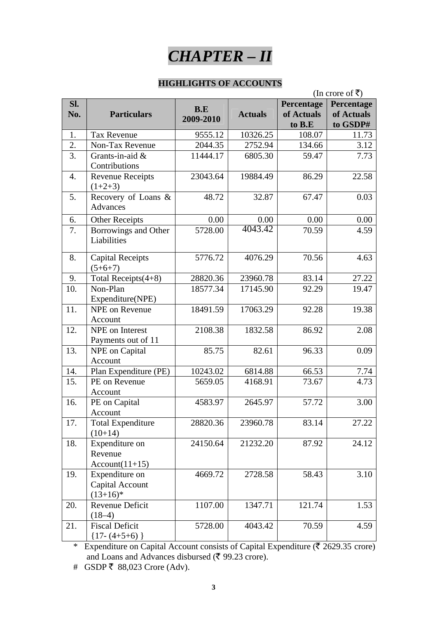

#### **HIGHLIGHTS OF ACCOUNTS**

|     |                          |           |                | (In crore of ₹) |            |  |  |
|-----|--------------------------|-----------|----------------|-----------------|------------|--|--|
| Sl. |                          | B.E       |                | Percentage      | Percentage |  |  |
| No. | <b>Particulars</b>       | 2009-2010 | <b>Actuals</b> | of Actuals      | of Actuals |  |  |
|     |                          |           |                | to B.E          | to GSDP#   |  |  |
| 1.  | <b>Tax Revenue</b>       | 9555.12   | 10326.25       | 108.07          | 11.73      |  |  |
| 2.  | Non-Tax Revenue          | 2044.35   | 2752.94        | 134.66          | 3.12       |  |  |
| 3.  | Grants-in-aid $&$        | 11444.17  | 6805.30        | 59.47           | 7.73       |  |  |
|     | Contributions            |           |                |                 |            |  |  |
| 4.  | <b>Revenue Receipts</b>  | 23043.64  | 19884.49       | 86.29           | 22.58      |  |  |
|     | $(1+2+3)$                |           |                |                 |            |  |  |
| 5.  | Recovery of Loans &      | 48.72     | 32.87          | 67.47           | 0.03       |  |  |
|     | Advances                 |           |                |                 |            |  |  |
| 6.  | <b>Other Receipts</b>    | 0.00      | 0.00           | 0.00            | 0.00       |  |  |
| 7.  | Borrowings and Other     | 5728.00   | 4043.42        | 70.59           | 4.59       |  |  |
|     | Liabilities              |           |                |                 |            |  |  |
|     |                          |           |                |                 |            |  |  |
| 8.  | <b>Capital Receipts</b>  | 5776.72   | 4076.29        | 70.56           | 4.63       |  |  |
|     | $(5+6+7)$                |           |                |                 |            |  |  |
| 9.  | Total Receipts(4+8)      | 28820.36  | 23960.78       | 83.14           | 27.22      |  |  |
| 10. | Non-Plan                 | 18577.34  | 17145.90       | 92.29           | 19.47      |  |  |
|     | Expenditure(NPE)         |           |                |                 |            |  |  |
| 11. | <b>NPE</b> on Revenue    | 18491.59  | 17063.29       | 92.28           | 19.38      |  |  |
|     | Account                  |           |                |                 |            |  |  |
| 12. | NPE on Interest          | 2108.38   | 1832.58        | 86.92           | 2.08       |  |  |
|     | Payments out of 11       |           |                |                 |            |  |  |
| 13. | <b>NPE</b> on Capital    | 85.75     | 82.61          | 96.33           | 0.09       |  |  |
|     | Account                  |           |                |                 |            |  |  |
| 14. | Plan Expenditure (PE)    | 10243.02  | 6814.88        | 66.53           | 7.74       |  |  |
| 15. | PE on Revenue            | 5659.05   | 4168.91        | 73.67           | 4.73       |  |  |
|     | Account                  |           |                |                 |            |  |  |
| 16. | PE on Capital            | 4583.97   | 2645.97        | 57.72           | 3.00       |  |  |
|     | Account                  |           |                |                 |            |  |  |
| 17. | <b>Total Expenditure</b> | 28820.36  | 23960.78       | 83.14           | 27.22      |  |  |
|     | $(10+14)$                |           |                |                 |            |  |  |
| 18. | Expenditure on           | 24150.64  | 21232.20       | 87.92           | 24.12      |  |  |
|     | Revenue                  |           |                |                 |            |  |  |
|     | $Account(11+15)$         |           |                |                 |            |  |  |
| 19. | Expenditure on           | 4669.72   | 2728.58        | 58.43           | 3.10       |  |  |
|     | Capital Account          |           |                |                 |            |  |  |
|     | $(13+16)^*$              |           |                |                 |            |  |  |
| 20. | Revenue Deficit          | 1107.00   | 1347.71        | 121.74          | 1.53       |  |  |
|     | $(18-4)$                 |           |                |                 |            |  |  |
| 21. | <b>Fiscal Deficit</b>    | 5728.00   | 4043.42        | 70.59           | 4.59       |  |  |
|     | $\{17-(4+5+6)\}$         |           |                |                 |            |  |  |

\* Expenditure on Capital Account consists of Capital Expenditure ( $\overline{(} 2629.35 \text{ core})$ ) and Loans and Advances disbursed ( $\bar{z}$  99.23 crore).

# GSDP ₹ 88,023 Crore (Adv).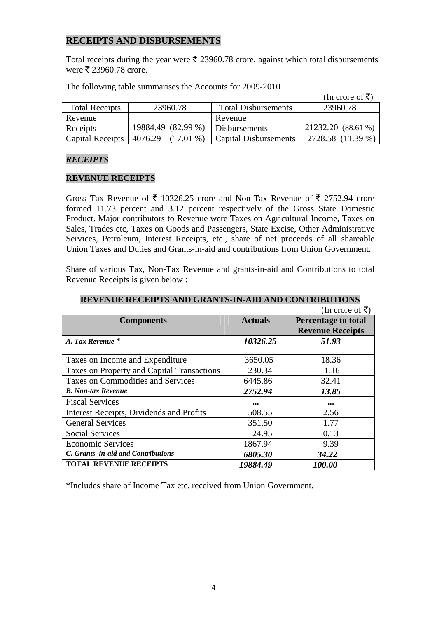## **RECEIPTS AND DISBURSEMENTS**

Total receipts during the year were  $\bar{\tau}$  23960.78 crore, against which total disbursements were  $\bar{\xi}$  23960.78 crore.

|                       |                        |                              | (In crore of ₹)    |
|-----------------------|------------------------|------------------------------|--------------------|
| <b>Total Receipts</b> | 23960.78               | <b>Total Disbursements</b>   | 23960.78           |
| Revenue               |                        | Revenue                      |                    |
| Receipts              | 19884.49 (82.99 %)     | Disbursements                | 21232.20 (88.61 %) |
| Capital Receipts      | 4076.29<br>$(17.01\%)$ | <b>Capital Disbursements</b> | 2728.58 (11.39 %)  |

The following table summarises the Accounts for 2009-2010

#### *RECEIPTS*

#### **REVENUE RECEIPTS**

Gross Tax Revenue of  $\bar{\tau}$  10326.25 crore and Non-Tax Revenue of  $\bar{\tau}$  2752.94 crore formed 11.73 percent and 3.12 percent respectively of the Gross State Domestic Product. Major contributors to Revenue were Taxes on Agricultural Income, Taxes on Sales, Trades etc, Taxes on Goods and Passengers, State Excise, Other Administrative Services, Petroleum, Interest Receipts, etc., share of net proceeds of all shareable Union Taxes and Duties and Grants-in-aid and contributions from Union Government.

Share of various Tax, Non-Tax Revenue and grants-in-aid and Contributions to total Revenue Receipts is given below :

|                                            |                         | (In crore of ₹)            |
|--------------------------------------------|-------------------------|----------------------------|
| <b>Components</b>                          | <b>Actuals</b>          | <b>Percentage to total</b> |
|                                            |                         | <b>Revenue Receipts</b>    |
| A. Tax Revenue <sup>*</sup>                | 10326.25                | 51.93                      |
|                                            |                         |                            |
| Taxes on Income and Expenditure            | 3650.05                 | 18.36                      |
| Taxes on Property and Capital Transactions | 230.34                  | 1.16                       |
| <b>Taxes on Commodities and Services</b>   | 6445.86                 | 32.41                      |
| <b>B.</b> Non-tax Revenue                  | 2752.94                 | 13.85                      |
| <b>Fiscal Services</b>                     | $\bullet\bullet\bullet$ | $\bullet\bullet\bullet$    |
| Interest Receipts, Dividends and Profits   | 508.55                  | 2.56                       |
| <b>General Services</b>                    | 351.50                  | 1.77                       |
| <b>Social Services</b>                     | 24.95                   | 0.13                       |
| <b>Economic Services</b>                   | 1867.94                 | 9.39                       |
| C. Grants–in-aid and Contributions         | 6805.30                 | 34.22                      |
| <b>TOTAL REVENUE RECEIPTS</b>              | 19884.49                | 100.00                     |

**REVENUE RECEIPTS AND GRANTS-IN-AID AND CONTRIBUTIONS** 

\*Includes share of Income Tax etc. received from Union Government.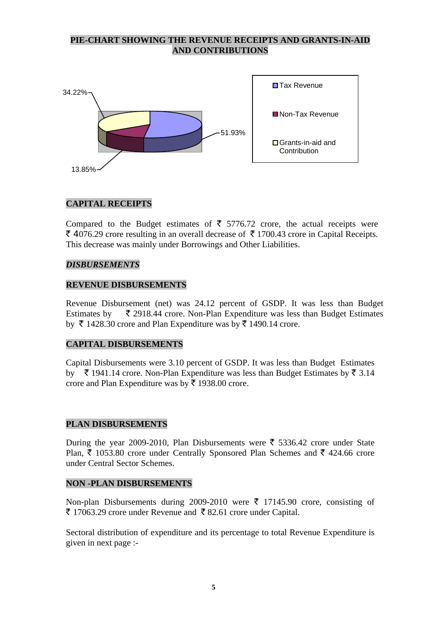## **PIE-CHART SHOWING THE REVENUE RECEIPTS AND GRANTS-IN-AID AND CONTRIBUTIONS**



## **CAPITAL RECEIPTS**

Compared to the Budget estimates of  $\bar{\tau}$  5776.72 crore, the actual receipts were  $\bar{\xi}$  4076.29 crore resulting in an overall decrease of  $\bar{\xi}$  1700.43 crore in Capital Receipts. This decrease was mainly under Borrowings and Other Liabilities.

#### *DISBURSEMENTS*

## **REVENUE DISBURSEMENTS**

Revenue Disbursement (net) was 24.12 percent of GSDP. It was less than Budget Estimates by  $\bar{\tau}$  2918.44 crore. Non-Plan Expenditure was less than Budget Estimates by  $\bar{\tau}$  1428.30 crore and Plan Expenditure was by  $\bar{\tau}$  1490.14 crore.

#### **CAPITAL DISBURSEMENTS**

Capital Disbursements were 3.10 percent of GSDP. It was less than Budget Estimates by  $\bar{\tau}$  1941.14 crore. Non-Plan Expenditure was less than Budget Estimates by  $\bar{\tau}$  3.14 crore and Plan Expenditure was by  $\bar{\tau}$  1938.00 crore.

#### **PLAN DISBURSEMENTS**

During the year 2009-2010, Plan Disbursements were  $\bar{\xi}$  5336.42 crore under State Plan,  $\bar{\tau}$  1053.80 crore under Centrally Sponsored Plan Schemes and  $\bar{\tau}$  424.66 crore under Central Sector Schemes.

#### **NON -PLAN DISBURSEMENTS**

Non-plan Disbursements during 2009-2010 were  $\bar{\tau}$  17145.90 crore, consisting of  $\bar{\xi}$  17063.29 crore under Revenue and  $\bar{\xi}$  82.61 crore under Capital.

Sectoral distribution of expenditure and its percentage to total Revenue Expenditure is given in next page :-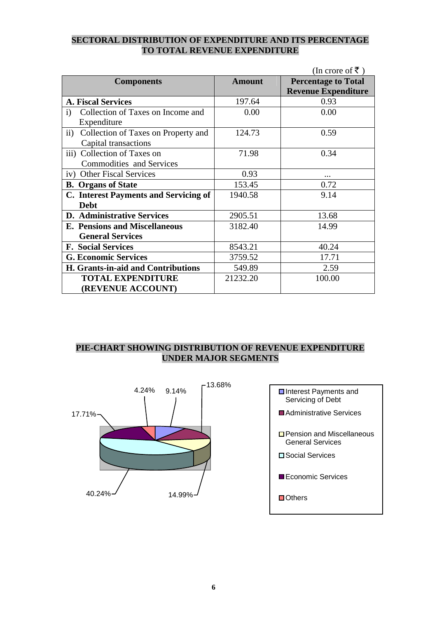## **SECTORAL DISTRIBUTION OF EXPENDITURE AND ITS PERCENTAGE TO TOTAL REVENUE EXPENDITURE**

|                                                        |               | (In crore of ₹)            |
|--------------------------------------------------------|---------------|----------------------------|
| <b>Components</b>                                      | <b>Amount</b> | <b>Percentage to Total</b> |
|                                                        |               | <b>Revenue Expenditure</b> |
| <b>A. Fiscal Services</b>                              | 197.64        | 0.93                       |
| Collection of Taxes on Income and<br>$\mathbf{i}$      | 0.00          | 0.00                       |
| Expenditure                                            |               |                            |
| $\mathbf{ii}$ )<br>Collection of Taxes on Property and | 124.73        | 0.59                       |
| Capital transactions                                   |               |                            |
| iii)<br>Collection of Taxes on                         | 71.98         | 0.34                       |
| <b>Commodities and Services</b>                        |               |                            |
| iv) Other Fiscal Services                              | 0.93          |                            |
| <b>B.</b> Organs of State                              | 153.45        | 0.72                       |
| C. Interest Payments and Servicing of                  | 1940.58       | 9.14                       |
| <b>Debt</b>                                            |               |                            |
| <b>D.</b> Administrative Services                      | 2905.51       | 13.68                      |
| <b>E. Pensions and Miscellaneous</b>                   | 3182.40       | 14.99                      |
| <b>General Services</b>                                |               |                            |
| <b>F. Social Services</b>                              | 8543.21       | 40.24                      |
| <b>G. Economic Services</b>                            | 3759.52       | 17.71                      |
| H. Grants-in-aid and Contributions                     | 549.89        | 2.59                       |
| <b>TOTAL EXPENDITURE</b>                               | 21232.20      | 100.00                     |
| (REVENUE ACCOUNT)                                      |               |                            |

## **PIE-CHART SHOWING DISTRIBUTION OF REVENUE EXPENDITURE UNDER MAJOR SEGMENTS**



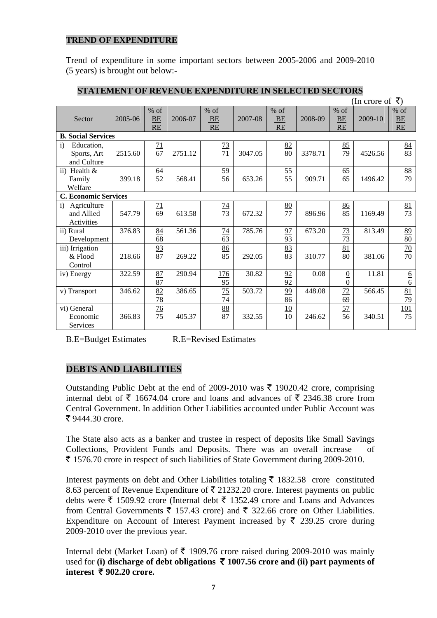## **TREND OF EXPENDITURE**

Trend of expenditure in some important sectors between 2005-2006 and 2009-2010 (5 years) is brought out below:-

|                                                        |         |                    |         |                           |         |                           |         |                                    | (In crore of | ₹)                        |
|--------------------------------------------------------|---------|--------------------|---------|---------------------------|---------|---------------------------|---------|------------------------------------|--------------|---------------------------|
| Sector                                                 | 2005-06 | $%$ of<br>BE<br>RE | 2006-07 | $%$ of<br><b>BE</b><br>RE | 2007-08 | $%$ of<br><b>BE</b><br>RE | 2008-09 | $%$ of<br>BE<br><b>RE</b>          | 2009-10      | $%$ of<br>BE<br><b>RE</b> |
| <b>B. Social Services</b>                              |         |                    |         |                           |         |                           |         |                                    |              |                           |
| Education,<br>$\ddot{1}$<br>Sports, Art<br>and Culture | 2515.60 | 71<br>67           | 2751.12 | 73<br>$\overline{71}$     | 3047.05 | 82<br>80                  | 3378.71 | 85<br>79                           | 4526.56      | 84<br>$\overline{83}$     |
| ii) Health $\&$<br>Family<br>Welfare                   | 399.18  | $\frac{64}{52}$    | 568.41  | $\frac{59}{56}$           | 653.26  | $\frac{55}{55}$           | 909.71  | $\frac{65}{65}$                    | 1496.42      | $\frac{88}{79}$           |
| <b>C. Economic Services</b>                            |         |                    |         |                           |         |                           |         |                                    |              |                           |
| Agriculture<br>$\ddot{i}$<br>and Allied<br>Activities  | 547.79  | 71<br>69           | 613.58  | $\overline{14}$<br>73     | 672.32  | 80<br>77                  | 896.96  | 86<br>85                           | 1169.49      | $\frac{81}{73}$           |
| ii) Rural<br>Development                               | 376.83  | 84<br>68           | 561.36  | 74<br>63                  | 785.76  | 97<br>93                  | 673.20  | 73<br>73                           | 813.49       | $\frac{89}{80}$           |
| iii) Irrigation<br>& Flood<br>Control                  | 218.66  | 93<br>87           | 269.22  | 86<br>85                  | 292.05  | 83<br>83                  | 310.77  | 81<br>80                           | 381.06       | 70<br>70                  |
| iv) Energy                                             | 322.59  | 87<br>87           | 290.94  | 176<br>95                 | 30.82   | 92<br>92                  | 0.08    | $\overline{0}$<br>$\boldsymbol{0}$ | 11.81        | $\frac{6}{6}$             |
| v) Transport                                           | 346.62  | 82<br>78           | 386.65  | 75<br>74                  | 503.72  | 99<br>86                  | 448.08  | 72<br>69                           | 566.45       | 81<br>79                  |
| vi) General<br>Economic<br>Services                    | 366.83  | $\frac{76}{75}$    | 405.37  | $\frac{88}{87}$           | 332.55  | 10<br>10                  | 246.62  | 57<br>56                           | 340.51       | 101<br>75                 |

## **STATEMENT OF REVENUE EXPENDITURE IN SELECTED SECTORS**

B.E=Budget Estimates R.E=Revised Estimates

## **DEBTS AND LIABILITIES**

Outstanding Public Debt at the end of 2009-2010 was  $\bar{\tau}$  19020.42 crore, comprising internal debt of  $\bar{\xi}$  16674.04 crore and loans and advances of  $\bar{\xi}$  2346.38 crore from Central Government. In addition Other Liabilities accounted under Public Account was ₹ 9444.30 crore.

The State also acts as a banker and trustee in respect of deposits like Small Savings Collections, Provident Funds and Deposits. There was an overall increase of  $\bar{\tau}$  1576.70 crore in respect of such liabilities of State Government during 2009-2010.

Interest payments on debt and Other Liabilities totaling  $\bar{\tau}$  1832.58 crore constituted 8.63 percent of Revenue Expenditure of  $\bar{\tau}$  21232.20 crore. Interest payments on public debts were  $\bar{\tau}$  1509.92 crore (Internal debt  $\bar{\tau}$  1352.49 crore and Loans and Advances from Central Governments  $\bar{\tau}$  157.43 crore) and  $\bar{\tau}$  322.66 crore on Other Liabilities. Expenditure on Account of Interest Payment increased by  $\bar{\xi}$  239.25 crore during 2009-2010 over the previous year.

Internal debt (Market Loan) of  $\bar{\tau}$  1909.76 crore raised during 2009-2010 was mainly used for **(i) discharge of debt obligations**  $\bar{\tau}$  **1007.56 crore and (ii) part payments of interest**  $\bar{\tau}$  **902.20 crore.**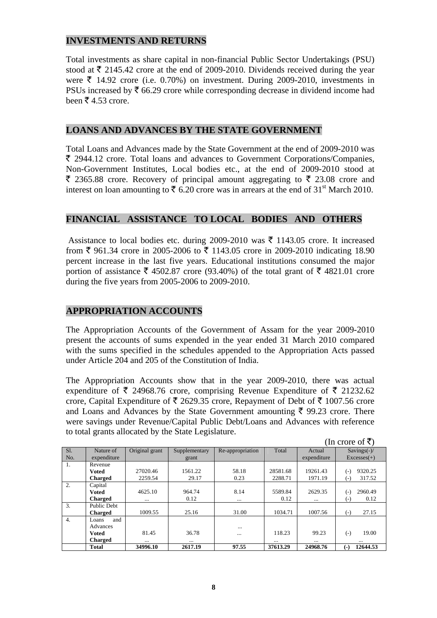## **INVESTMENTS AND RETURNS**

Total investments as share capital in non-financial Public Sector Undertakings (PSU) stood at  $\bar{\tau}$  2145.42 crore at the end of 2009-2010. Dividends received during the year were  $\bar{\tau}$  14.92 crore (i.e. 0.70%) on investment. During 2009-2010, investments in PSUs increased by  $\bar{\tau}$  66.29 crore while corresponding decrease in dividend income had been  $\bar{\bar{\mathcal{E}}}$  4.53 crore.

## **LOANS AND ADVANCES BY THE STATE GOVERNMENT**

Total Loans and Advances made by the State Government at the end of 2009-2010 was ` 2944.12 crore. Total loans and advances to Government Corporations/Companies, Non-Government Institutes, Local bodies etc., at the end of 2009-2010 stood at  $\bar{\xi}$  2365.88 crore. Recovery of principal amount aggregating to  $\bar{\xi}$  23.08 crore and interest on loan amounting to  $\bar{\xi}$  6.20 crore was in arrears at the end of 31<sup>st</sup> March 2010.

## **FINANCIAL ASSISTANCE TO LOCAL BODIES AND OTHERS**

Assistance to local bodies etc. during 2009-2010 was  $\bar{\tau}$  1143.05 crore. It increased from  $\bar{\xi}$  961.34 crore in 2005-2006 to  $\bar{\xi}$  1143.05 crore in 2009-2010 indicating 18.90 percent increase in the last five years. Educational institutions consumed the major portion of assistance  $\bar{\xi}$  4502.87 crore (93.40%) of the total grant of  $\bar{\xi}$  4821.01 crore during the five years from 2005-2006 to 2009-2010.

## **APPROPRIATION ACCOUNTS**

The Appropriation Accounts of the Government of Assam for the year 2009-2010 present the accounts of sums expended in the year ended 31 March 2010 compared with the sums specified in the schedules appended to the Appropriation Acts passed under Article 204 and 205 of the Constitution of India.

The Appropriation Accounts show that in the year 2009-2010, there was actual expenditure of  $\bar{\tau}$  24968.76 crore, comprising Revenue Expenditure of  $\bar{\tau}$  21232.62 crore, Capital Expenditure of  $\bar{\tau}$  2629.35 crore, Repayment of Debt of  $\bar{\tau}$  1007.56 crore and Loans and Advances by the State Government amounting  $\bar{\tau}$  99.23 crore. There were savings under Revenue/Capital Public Debt/Loans and Advances with reference to total grants allocated by the State Legislature.

(In crore of  $\bar{z}$ )

|                  |                | III $UUUUUI$   |               |                  |          |             |                  |
|------------------|----------------|----------------|---------------|------------------|----------|-------------|------------------|
| SI.              | Nature of      | Original grant | Supplementary | Re-appropriation | Total    | Actual      | Savings $(-)/$   |
| No.              | expenditure    |                | grant         |                  |          | expenditure | $Excesses(+)$    |
| 1.               | Revenue        |                |               |                  |          |             |                  |
|                  | Voted          | 27020.46       | 1561.22       | 58.18            | 28581.68 | 19261.43    | 9320.25<br>(-)   |
|                  | <b>Charged</b> | 2259.54        | 29.17         | 0.23             | 2288.71  | 1971.19     | 317.52<br>$(-)$  |
| $\overline{2}$ . | Capital        |                |               |                  |          |             |                  |
|                  | Voted          | 4625.10        | 964.74        | 8.14             | 5589.84  | 2629.35     | 2960.49<br>$(-)$ |
|                  | <b>Charged</b> |                | 0.12          | $\cdots$         | 0.12     | $\cdots$    | 0.12<br>$(-)$    |
| 3.               | Public Debt    |                |               |                  |          |             |                  |
|                  | <b>Charged</b> | 1009.55        | 25.16         | 31.00            | 1034.71  | 1007.56     | 27.15<br>$(-)$   |
| 4.               | and<br>Loans   |                |               |                  |          |             |                  |
|                  | Advances       |                |               |                  |          |             |                  |
|                  | Voted          | 81.45          | 36.78         | $\cdots$         | 118.23   | 99.23       | 19.00<br>$(-)$   |
|                  | <b>Charged</b> | $\cdots$       | $\cdots$      |                  |          | $\cdots$    |                  |
|                  | <b>Total</b>   | 34996.10       | 2617.19       | 97.55            | 37613.29 | 24968.76    | 12644.53<br>(-)  |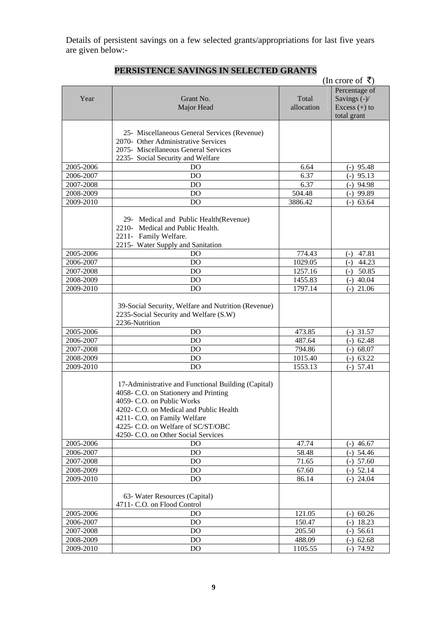Details of persistent savings on a few selected grants/appropriations for last five years are given below:-

|                        |                                                                             |                   | (In crore of ₹)                 |
|------------------------|-----------------------------------------------------------------------------|-------------------|---------------------------------|
| Year                   | Grant No.                                                                   | Total             | Percentage of<br>Savings $(-)/$ |
|                        | Major Head                                                                  | allocation        | Excess $(+)$ to<br>total grant  |
|                        |                                                                             |                   |                                 |
|                        | 25- Miscellaneous General Services (Revenue)                                |                   |                                 |
|                        | 2070- Other Administrative Services                                         |                   |                                 |
|                        | 2075- Miscellaneous General Services                                        |                   |                                 |
|                        | 2235- Social Security and Welfare                                           |                   |                                 |
| 2005-2006              | D <sub>O</sub>                                                              | 6.64              | $(-)$ 95.48                     |
| 2006-2007              | D <sub>O</sub>                                                              | 6.37              | $(-)$ 95.13                     |
| 2007-2008              | D <sub>O</sub>                                                              | 6.37              | $(-)$ 94.98                     |
| 2008-2009<br>2009-2010 | D <sub>O</sub><br>D <sub>O</sub>                                            | 504.48<br>3886.42 | $(-)$ 99.89<br>$(-)$ 63.64      |
|                        |                                                                             |                   |                                 |
|                        | 29- Medical and Public Health (Revenue)<br>2210- Medical and Public Health. |                   |                                 |
|                        | 2211- Family Welfare.                                                       |                   |                                 |
|                        | 2215- Water Supply and Sanitation                                           |                   |                                 |
| 2005-2006              | DO                                                                          | 774.43            | 47.81<br>$(-)$                  |
| 2006-2007              | D <sub>O</sub>                                                              | 1029.05           | 44.23<br>$(-)$                  |
| 2007-2008              | D <sub>O</sub>                                                              | 1257.16           | $(-)$ 50.85                     |
| 2008-2009              | D <sub>O</sub>                                                              | 1455.83           | $(-)$ 40.04                     |
| 2009-2010              | <b>DO</b>                                                                   | 1797.14           | $(-)$ 21.06                     |
|                        |                                                                             |                   |                                 |
|                        | 39-Social Security, Welfare and Nutrition (Revenue)                         |                   |                                 |
|                        | 2235-Social Security and Welfare (S.W)<br>2236-Nutrition                    |                   |                                 |
| 2005-2006              | <b>DO</b>                                                                   | 473.85            | $(-)$ 31.57                     |
| 2006-2007              | <b>DO</b>                                                                   | 487.64            | $(-)$ 62.48                     |
| 2007-2008              | D <sub>O</sub>                                                              | 794.86            | $(-)$ 68.07                     |
| 2008-2009              | D <sub>O</sub>                                                              | 1015.40           | $(-) 63.22$                     |
| 2009-2010              | <b>DO</b>                                                                   | 1553.13           | $(-)$ 57.41                     |
|                        |                                                                             |                   |                                 |
|                        | 17-Administrative and Functional Building (Capital)                         |                   |                                 |
|                        | 4058- C.O. on Stationery and Printing                                       |                   |                                 |
|                        | 4059- C.O. on Public Works                                                  |                   |                                 |
|                        | 4202- C.O. on Medical and Public Health                                     |                   |                                 |
|                        | 4211- C.O. on Family Welfare                                                |                   |                                 |
|                        | 4225- C.O. on Welfare of SC/ST/OBC<br>4250- C.O. on Other Social Services   |                   |                                 |
| 2005-2006              | D <sub>O</sub>                                                              | 47.74             | $(-)$ 46.67                     |
| 2006-2007              | D <sub>O</sub>                                                              | 58.48             | $(-)$ 54.46                     |
| 2007-2008              | D <sub>O</sub>                                                              | 71.65             | $(-)$ 57.60                     |
| 2008-2009              | D <sub>O</sub>                                                              | 67.60             | $(-)$ 52.14                     |
| 2009-2010              | D <sub>O</sub>                                                              | 86.14             | $(-)$ 24.04                     |
|                        |                                                                             |                   |                                 |
|                        | 63- Water Resources (Capital)                                               |                   |                                 |
|                        | 4711- C.O. on Flood Control                                                 |                   |                                 |
| 2005-2006              | D <sub>O</sub>                                                              | 121.05            | $(-)$ 60.26                     |
| 2006-2007              | D <sub>O</sub>                                                              | 150.47            | $(-)$ 18.23                     |
| 2007-2008              | D <sub>O</sub>                                                              | 205.50            | $(-)$ 56.61                     |
| 2008-2009              | D <sub>O</sub>                                                              | 488.09            | 62.68<br>$(-)$                  |
| 2009-2010              | D <sub>O</sub>                                                              | 1105.55           | $(-) 74.92$                     |

## **PERSISTENCE SAVINGS IN SELECTED GRANTS**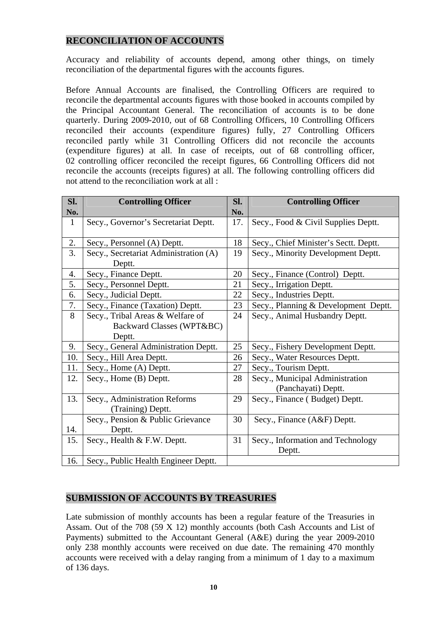## **RECONCILIATION OF ACCOUNTS**

Accuracy and reliability of accounts depend, among other things, on timely reconciliation of the departmental figures with the accounts figures.

Before Annual Accounts are finalised, the Controlling Officers are required to reconcile the departmental accounts figures with those booked in accounts compiled by the Principal Accountant General. The reconciliation of accounts is to be done quarterly. During 2009-2010, out of 68 Controlling Officers, 10 Controlling Officers reconciled their accounts (expenditure figures) fully, 27 Controlling Officers reconciled partly while 31 Controlling Officers did not reconcile the accounts (expenditure figures) at all. In case of receipts, out of 68 controlling officer, 02 controlling officer reconciled the receipt figures, 66 Controlling Officers did not reconcile the accounts (receipts figures) at all. The following controlling officers did not attend to the reconciliation work at all :

| Sl.          | <b>Controlling Officer</b>            | SI. | <b>Controlling Officer</b>            |
|--------------|---------------------------------------|-----|---------------------------------------|
| No.          |                                       | No. |                                       |
| $\mathbf{1}$ | Secy., Governor's Secretariat Deptt.  | 17. | Secy., Food & Civil Supplies Deptt.   |
|              |                                       |     |                                       |
| 2.           | Secy., Personnel (A) Deptt.           | 18  | Secy., Chief Minister's Sectt. Deptt. |
| 3.           | Secy., Secretariat Administration (A) | 19  | Secy., Minority Development Deptt.    |
|              | Deptt.                                |     |                                       |
| 4.           | Secy., Finance Deptt.                 | 20  | Secy., Finance (Control) Deptt.       |
| 5.           | Secy., Personnel Deptt.               | 21  | Secy., Irrigation Deptt.              |
| 6.           | Secy., Judicial Deptt.                | 22  | Secy., Industries Deptt.              |
| 7.           | Secy., Finance (Taxation) Deptt.      | 23  | Secy., Planning & Development Deptt.  |
| 8            | Secy., Tribal Areas & Welfare of      | 24  | Secy., Animal Husbandry Deptt.        |
|              | Backward Classes (WPT&BC)             |     |                                       |
|              | Deptt.                                |     |                                       |
| 9.           | Secy., General Administration Deptt.  | 25  | Secy., Fishery Development Deptt.     |
| 10.          | Secy., Hill Area Deptt.               | 26  | Secy., Water Resources Deptt.         |
| 11.          | Secy., Home (A) Deptt.                | 27  | Secy., Tourism Deptt.                 |
| 12.          | Secy., Home (B) Deptt.                | 28  | Secy., Municipal Administration       |
|              |                                       |     | (Panchayati) Deptt.                   |
| 13.          | Secy., Administration Reforms         | 29  | Secy., Finance (Budget) Deptt.        |
|              | (Training) Deptt.                     |     |                                       |
|              | Secy., Pension & Public Grievance     | 30  | Secy., Finance (A&F) Deptt.           |
| 14.          | Deptt.                                |     |                                       |
| 15.          | Secy., Health & F.W. Deptt.           | 31  | Secy., Information and Technology     |
|              |                                       |     | Deptt.                                |
| 16.          | Secy., Public Health Engineer Deptt.  |     |                                       |

## **SUBMISSION OF ACCOUNTS BY TREASURIES**

Late submission of monthly accounts has been a regular feature of the Treasuries in Assam. Out of the 708 (59 X 12) monthly accounts (both Cash Accounts and List of Payments) submitted to the Accountant General (A&E) during the year 2009-2010 only 238 monthly accounts were received on due date. The remaining 470 monthly accounts were received with a delay ranging from a minimum of 1 day to a maximum of 136 days.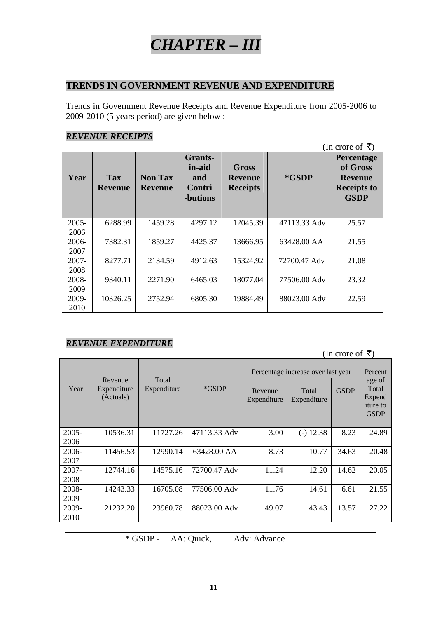## *CHAPTER – III*

## **TRENDS IN GOVERNMENT REVENUE AND EXPENDITURE**

Trends in Government Revenue Receipts and Revenue Expenditure from 2005-2006 to 2009-2010 (5 years period) are given below :

## *REVENUE RECEIPTS*

|          | (In crore of ₹)              |                                  |                                                       |                                            |              |                                                                               |  |  |
|----------|------------------------------|----------------------------------|-------------------------------------------------------|--------------------------------------------|--------------|-------------------------------------------------------------------------------|--|--|
| Year     | <b>Tax</b><br><b>Revenue</b> | <b>Non Tax</b><br><b>Revenue</b> | <b>Grants-</b><br>in-aid<br>and<br>Contri<br>-butions | Gross<br><b>Revenue</b><br><b>Receipts</b> | *GSDP        | Percentage<br>of Gross<br><b>Revenue</b><br><b>Receipts to</b><br><b>GSDP</b> |  |  |
| $2005 -$ | 6288.99                      | 1459.28                          | 4297.12                                               | 12045.39                                   | 47113.33 Adv | 25.57                                                                         |  |  |
| 2006     |                              |                                  |                                                       |                                            |              |                                                                               |  |  |
| 2006-    | 7382.31                      | 1859.27                          | 4425.37                                               | 13666.95                                   | 63428.00 AA  | 21.55                                                                         |  |  |
| 2007     |                              |                                  |                                                       |                                            |              |                                                                               |  |  |
| $2007 -$ | 8277.71                      | 2134.59                          | 4912.63                                               | 15324.92                                   | 72700.47 Adv | 21.08                                                                         |  |  |
| 2008     |                              |                                  |                                                       |                                            |              |                                                                               |  |  |
| 2008-    | 9340.11                      | 2271.90                          | 6465.03                                               | 18077.04                                   | 77506.00 Adv | 23.32                                                                         |  |  |
| 2009     |                              |                                  |                                                       |                                            |              |                                                                               |  |  |
| 2009-    | 10326.25                     | 2752.94                          | 6805.30                                               | 19884.49                                   | 88023.00 Adv | 22.59                                                                         |  |  |
| 2010     |                              |                                  |                                                       |                                            |              |                                                                               |  |  |

## *REVENUE EXPENDITURE*

| (In crore of ₹) |                                     |                      |              |                                    |                      |             |                                                      |  |
|-----------------|-------------------------------------|----------------------|--------------|------------------------------------|----------------------|-------------|------------------------------------------------------|--|
|                 |                                     |                      |              | Percentage increase over last year |                      | Percent     |                                                      |  |
| Year            | Revenue<br>Expenditure<br>(Actuals) | Total<br>Expenditure | *GSDP        | Revenue<br>Expenditure             | Total<br>Expenditure | <b>GSDP</b> | age of<br>Total<br>Expend<br>iture to<br><b>GSDP</b> |  |
| $2005 -$        | 10536.31                            | 11727.26             | 47113.33 Adv | 3.00                               | $(-)$ 12.38          | 8.23        | 24.89                                                |  |
| 2006            |                                     |                      |              |                                    |                      |             |                                                      |  |
| 2006-<br>2007   | 11456.53                            | 12990.14             | 63428.00 AA  | 8.73                               | 10.77                | 34.63       | 20.48                                                |  |
| 2007-           | 12744.16                            | 14575.16             | 72700.47 Adv | 11.24                              | 12.20                | 14.62       | 20.05                                                |  |
| 2008            |                                     |                      |              |                                    |                      |             |                                                      |  |
| 2008-           | 14243.33                            | 16705.08             | 77506.00 Adv | 11.76                              | 14.61                | 6.61        | 21.55                                                |  |
| 2009            |                                     |                      |              |                                    |                      |             |                                                      |  |
| 2009-           | 21232.20                            | 23960.78             | 88023.00 Adv | 49.07                              | 43.43                | 13.57       | 27.22                                                |  |
| 2010            |                                     |                      |              |                                    |                      |             |                                                      |  |

\* GSDP - AA: Quick, Adv: Advance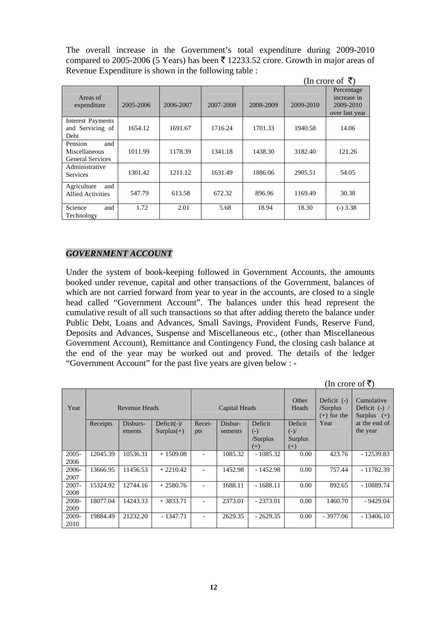The overall increase in the Government's total expenditure during 2009-2010 compared to 2005-2006 (5 Years) has been  $\bar{\tau}$  12233.52 crore. Growth in major areas of Revenue Expenditure is shown in the following table :

|                                                            |           |           |           |           |           | (In crore of ₹)                                          |
|------------------------------------------------------------|-----------|-----------|-----------|-----------|-----------|----------------------------------------------------------|
| Areas of<br>expenditure                                    | 2005-2006 | 2006-2007 | 2007-2008 | 2008-2009 | 2009-2010 | Percentage<br>increase in<br>2009-2010<br>over last year |
| <b>Interest Payments</b><br>and Servicing of<br>Debt       | 1654.12   | 1691.67   | 1716.24   | 1701.33   | 1940.58   | 14.06                                                    |
| and<br>Pension<br>Miscellaneous<br><b>General Services</b> | 1011.99   | 1178.39   | 1341.18   | 1438.30   | 3182.40   | 121.26                                                   |
| Administrative<br><b>Services</b>                          | 1301.42   | 1211.12   | 1631.49   | 1886.06   | 2905.51   | 54.05                                                    |
| Agriculture<br>and<br><b>Allied Activities</b>             | 547.79    | 613.58    | 672.32    | 896.96    | 1169.49   | 30.38                                                    |
| Science<br>and<br>Technology                               | 1.72      | 2.01      | 5.68      | 18.94     | 18.30     | $(-)$ 3.38                                               |

## *GOVERNMENT ACCOUNT*

Under the system of book-keeping followed in Government Accounts, the amounts booked under revenue, capital and other transactions of the Government, balances of which are not carried forward from year to year in the accounts, are closed to a single head called "Government Account". The balances under this head represent the cumulative result of all such transactions so that after adding thereto the balance under Public Debt, Loans and Advances, Small Savings, Provident Funds, Reserve Fund, Deposits and Advances, Suspense and Miscellaneous etc., (other than Miscellaneous Government Account), Remittance and Contingency Fund, the closing cash balance at the end of the year may be worked out and proved. The details of the ledger "Government Account" for the past five years are given below : -

|          | In crore of $\leq$ ) |               |                |        |               |            |                                                            |            |                                                   |  |
|----------|----------------------|---------------|----------------|--------|---------------|------------|------------------------------------------------------------|------------|---------------------------------------------------|--|
| Year     |                      | Revenue Heads |                |        | Capital Heads |            | Deficit (-)<br>Other<br>Heads<br>/Surplus<br>$(+)$ for the |            | Cumulative<br>Deficit $(-)$ /<br>Surplus<br>$(+)$ |  |
|          | Receipts             | Disburs-      | Deficit(- $)/$ | Recei- | Disbur-       | Deficit    | Deficit                                                    | Year       | at the end of                                     |  |
|          |                      | ements        | $Surplus(+)$   | pts    | sements       | $(-)$      | $(-)/$                                                     |            | the year                                          |  |
|          |                      |               |                |        |               | /Surplus   | Surplus                                                    |            |                                                   |  |
|          |                      |               |                |        |               | $(+)$      | $(+)$                                                      |            |                                                   |  |
| $2005 -$ | 12045.39             | 10536.31      | $+1509.08$     |        | 1085.32       | $-1085.32$ | 0.00                                                       | 423.76     | - 12539.83                                        |  |
| 2006     |                      |               |                |        |               |            |                                                            |            |                                                   |  |
| 2006-    | 13666.95             | 11456.53      | $+2210.42$     |        | 1452.98       | $-1452.98$ | 0.00                                                       | 757.44     | - 11782.39                                        |  |
| 2007     |                      |               |                |        |               |            |                                                            |            |                                                   |  |
| $2007 -$ | 15324.92             | 12744.16      | $+2580.76$     |        | 1688.11       | $-1688.11$ | 0.00                                                       | 892.65     | - 10889.74                                        |  |
| 2008     |                      |               |                |        |               |            |                                                            |            |                                                   |  |
| 2008-    | 18077.04             | 14243.33      | $+3833.71$     |        | 2373.01       | $-2373.01$ | 0.00                                                       | 1460.70    | $-9429.04$                                        |  |
| 2009     |                      |               |                |        |               |            |                                                            |            |                                                   |  |
| 2009-    | 19884.49             | 21232.20      | $-1347.71$     |        | 2629.35       | $-2629.35$ | 0.00                                                       | $-3977.06$ | $-13406.10$                                       |  |
| 2010     |                      |               |                |        |               |            |                                                            |            |                                                   |  |

 $(\text{In area of } \mathcal{F})$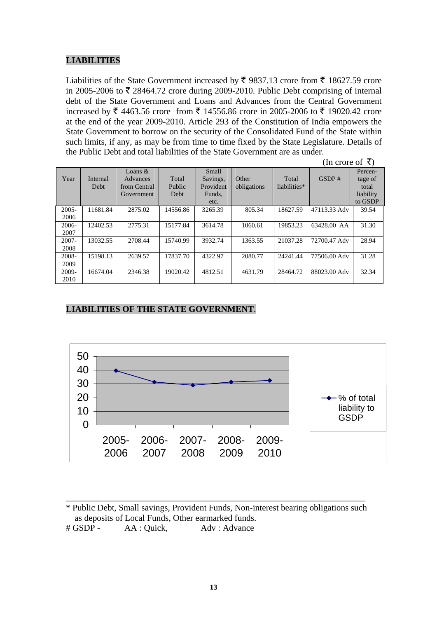## **LIABILITIES**

Liabilities of the State Government increased by  $\bar{\tau}$  9837.13 crore from  $\bar{\tau}$  18627.59 crore in 2005-2006 to  $\bar{\tau}$  28464.72 crore during 2009-2010. Public Debt comprising of internal debt of the State Government and Loans and Advances from the Central Government increased by ₹ 4463.56 crore from ₹ 14556.86 crore in 2005-2006 to ₹ 19020.42 crore at the end of the year 2009-2010. Article 293 of the Constitution of India empowers the State Government to borrow on the security of the Consolidated Fund of the State within such limits, if any, as may be from time to time fixed by the State Legislature. Details of the Public Debt and total liabilities of the State Government are as under.

| (In crore of ₹) |  |
|-----------------|--|
|                 |  |

| Year     | Internal<br><b>Debt</b> | Loans $&$<br>Advances<br>from Central<br>Government | Total<br>Public<br>Debt | Small<br>Savings,<br>Provident<br>Funds,<br>etc. | Other<br>obligations | Total<br>liabilities* | GSDP#        | Percen-<br>tage of<br>total<br>liability<br>to GSDP |
|----------|-------------------------|-----------------------------------------------------|-------------------------|--------------------------------------------------|----------------------|-----------------------|--------------|-----------------------------------------------------|
| $2005 -$ | 11681.84                | 2875.02                                             | 14556.86                | 3265.39                                          | 805.34               | 18627.59              | 47113.33 Adv | 39.54                                               |
| 2006     |                         |                                                     |                         |                                                  |                      |                       |              |                                                     |
| $2006 -$ | 12402.53                | 2775.31                                             | 15177.84                | 3614.78                                          | 1060.61              | 19853.23              | 63428.00 AA  | 31.30                                               |
| 2007     |                         |                                                     |                         |                                                  |                      |                       |              |                                                     |
| $2007 -$ | 13032.55                | 2708.44                                             | 15740.99                | 3932.74                                          | 1363.55              | 21037.28              | 72700.47 Adv | 28.94                                               |
| 2008     |                         |                                                     |                         |                                                  |                      |                       |              |                                                     |
| 2008-    | 15198.13                | 2639.57                                             | 17837.70                | 4322.97                                          | 2080.77              | 24241.44              | 77506.00 Adv | 31.28                                               |
| 2009     |                         |                                                     |                         |                                                  |                      |                       |              |                                                     |
| 2009-    | 16674.04                | 2346.38                                             | 19020.42                | 4812.51                                          | 4631.79              | 28464.72              | 88023.00 Adv | 32.34                                               |
| 2010     |                         |                                                     |                         |                                                  |                      |                       |              |                                                     |

#### **LIABILITIES OF THE STATE GOVERNMENT**.



\* Public Debt, Small savings, Provident Funds, Non-interest bearing obligations such as deposits of Local Funds, Other earmarked funds.

\_\_\_\_\_\_\_\_\_\_\_\_\_\_\_\_\_\_\_\_\_\_\_\_\_\_\_\_\_\_\_\_\_\_\_\_\_\_\_\_\_\_\_\_\_\_\_\_\_\_\_\_\_\_\_\_\_\_\_\_\_\_\_\_\_\_\_\_

# GSDP - AA : Quick, Adv : Advance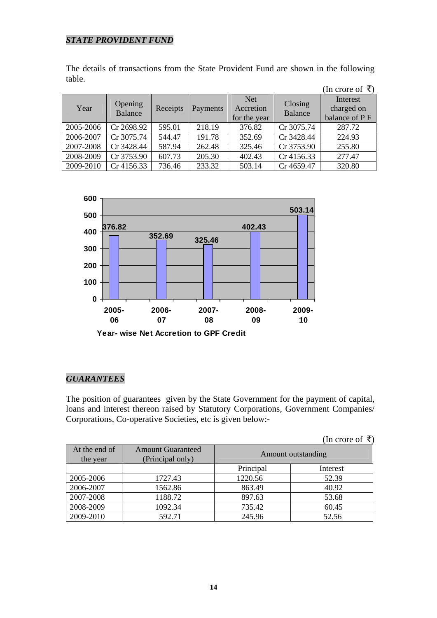## *STATE PROVIDENT FUND*

The details of transactions from the State Provident Fund are shown in the following table.

|           |                    |          |          |                                         |                    | (In crore of ₹)                         |
|-----------|--------------------|----------|----------|-----------------------------------------|--------------------|-----------------------------------------|
| Year      | Opening<br>Balance | Receipts | Payments | <b>Net</b><br>Accretion<br>for the year | Closing<br>Balance | Interest<br>charged on<br>balance of PF |
| 2005-2006 | Cr 2698.92         | 595.01   | 218.19   | 376.82                                  | Cr 3075.74         | 287.72                                  |
| 2006-2007 | Cr 3075.74         | 544.47   | 191.78   | 352.69                                  | Cr 3428.44         | 224.93                                  |
| 2007-2008 | Cr 3428.44         | 587.94   | 262.48   | 325.46                                  | Cr 3753.90         | 255.80                                  |
| 2008-2009 | Cr 3753.90         | 607.73   | 205.30   | 402.43                                  | Cr 4156.33         | 277.47                                  |
| 2009-2010 | Cr 4156.33         | 736.46   | 233.32   | 503.14                                  | Cr 4659.47         | 320.80                                  |



#### *GUARANTEES*

The position of guarantees given by the State Government for the payment of capital, loans and interest thereon raised by Statutory Corporations, Government Companies/ Corporations, Co-operative Societies, etc is given below:-

| (In crore of $\bar{\tau}$ ) |  |
|-----------------------------|--|
|-----------------------------|--|

| At the end of<br>the year | <b>Amount Guaranteed</b><br>(Principal only) | Amount outstanding |          |  |
|---------------------------|----------------------------------------------|--------------------|----------|--|
|                           |                                              | Principal          | Interest |  |
| 2005-2006                 | 1727.43                                      | 1220.56            | 52.39    |  |
| 2006-2007                 | 1562.86                                      | 863.49             | 40.92    |  |
| 2007-2008                 | 1188.72                                      | 897.63             | 53.68    |  |
| 2008-2009                 | 1092.34                                      | 735.42             | 60.45    |  |
| 2009-2010                 | 592.71                                       | 245.96             | 52.56    |  |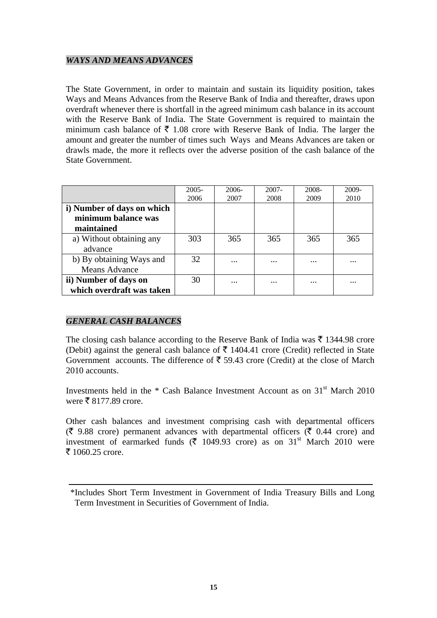## *WAYS AND MEANS ADVANCES*

The State Government, in order to maintain and sustain its liquidity position, takes Ways and Means Advances from the Reserve Bank of India and thereafter, draws upon overdraft whenever there is shortfall in the agreed minimum cash balance in its account with the Reserve Bank of India. The State Government is required to maintain the minimum cash balance of  $\bar{\tau}$  1.08 crore with Reserve Bank of India. The larger the amount and greater the number of times such Ways and Means Advances are taken or drawls made, the more it reflects over the adverse position of the cash balance of the State Government.

|                            | $2005 -$ | $2006-$           | $2007 -$          | 2008- | 2009- |
|----------------------------|----------|-------------------|-------------------|-------|-------|
|                            | 2006     | 2007              | 2008              | 2009  | 2010  |
| i) Number of days on which |          |                   |                   |       |       |
| minimum balance was        |          |                   |                   |       |       |
| maintained                 |          |                   |                   |       |       |
| a) Without obtaining any   | 303      | 365               | 365               | 365   | 365   |
| advance                    |          |                   |                   |       |       |
| b) By obtaining Ways and   | 32       |                   | $\cdot\cdot\cdot$ |       |       |
| <b>Means Advance</b>       |          |                   |                   |       |       |
| ii) Number of days on      | 30       | $\cdot\cdot\cdot$ | $\cdot\cdot\cdot$ | .     |       |
| which overdraft was taken  |          |                   |                   |       |       |

## *GENERAL CASH BALANCES*

The closing cash balance according to the Reserve Bank of India was  $\bar{\tau}$  1344.98 crore (Debit) against the general cash balance of  $\bar{\tau}$  1404.41 crore (Credit) reflected in State Government accounts. The difference of  $\bar{\tau}$  59.43 crore (Credit) at the close of March 2010 accounts.

Investments held in the  $*$  Cash Balance Investment Account as on  $31<sup>st</sup>$  March 2010 were  $\bar{\bar{\xi}}$  8177.89 crore.

Other cash balances and investment comprising cash with departmental officers  $(\bar{\zeta}$  9.88 crore) permanent advances with departmental officers ( $\bar{\zeta}$  0.44 crore) and investment of earmarked funds ( $\bar{\tau}$  1049.93 crore) as on 31<sup>st</sup> March 2010 were  $\bar{z}$  1060.25 crore.

 <sup>\*</sup>Includes Short Term Investment in Government of India Treasury Bills and Long Term Investment in Securities of Government of India.